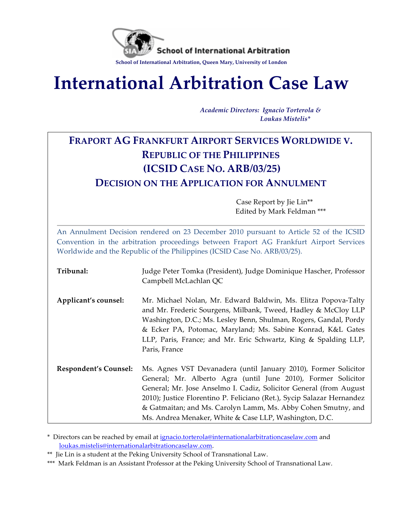

# **International Arbitration Case Law**

*Academic(Directors:( Ignacio(Torterola(&*  $Loukas\ Mistelis*$ 

## **FRAPORT AG FRANKFURT AIRPORT SERVICES WORLDWIDE V. REPUBLIC OF THE PHILIPPINES (ICSID CASE NO. ARB/03/25) DECISION ON THE APPLICATION FOR ANNULMENT**

**Case Report by Jie Lin\*\*** Edited by Mark Feldman \*\*\*

An Annulment Decision rendered on 23 December 2010 pursuant to Article 52 of the ICSID Convention in the arbitration proceedings between Fraport AG Frankfurt Airport Services Worldwide and the Republic of the Philippines (ICSID Case No. ARB/03/25).

| Tribunal:                    | Judge Peter Tomka (President), Judge Dominique Hascher, Professor<br>Campbell McLachlan QC                                                                                                                                                                                                                                                                                                                  |
|------------------------------|-------------------------------------------------------------------------------------------------------------------------------------------------------------------------------------------------------------------------------------------------------------------------------------------------------------------------------------------------------------------------------------------------------------|
| Applicant's counsel:         | Mr. Michael Nolan, Mr. Edward Baldwin, Ms. Elitza Popova-Talty<br>and Mr. Frederic Sourgens, Milbank, Tweed, Hadley & McCloy LLP<br>Washington, D.C.; Ms. Lesley Benn, Shulman, Rogers, Gandal, Pordy<br>& Ecker PA, Potomac, Maryland; Ms. Sabine Konrad, K&L Gates<br>LLP, Paris, France; and Mr. Eric Schwartz, King & Spalding LLP,<br>Paris, France                                                    |
| <b>Respondent's Counsel:</b> | Ms. Agnes VST Devanadera (until January 2010), Former Solicitor<br>General; Mr. Alberto Agra (until June 2010), Former Solicitor<br>General; Mr. Jose Anselmo I. Cadiz, Solicitor General (from August<br>2010); Justice Florentino P. Feliciano (Ret.), Sycip Salazar Hernandez<br>& Gatmaitan; and Ms. Carolyn Lamm, Ms. Abby Cohen Smutny, and<br>Ms. Andrea Menaker, White & Case LLP, Washington, D.C. |

\* Directors can be reached by email at ignacio.torterola@internationalarbitrationcaselaw.com and loukas.mistelis@internationalarbitrationcaselaw.com.!

<sup>\*\*</sup> Jie Lin is a student at the Peking University School of Transnational Law.

<sup>\*\*\*</sup> Mark Feldman is an Assistant Professor at the Peking University School of Transnational Law.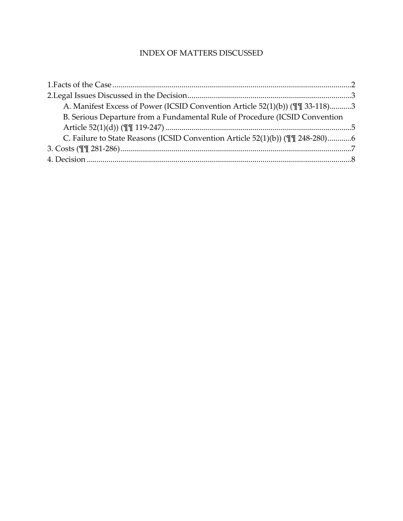#### INDEX OF MATTERS DISCUSSED

| A. Manifest Excess of Power (ICSID Convention Article 52(1)(b)) (II 33-118)3  |  |
|-------------------------------------------------------------------------------|--|
| B. Serious Departure from a Fundamental Rule of Procedure (ICSID Convention   |  |
|                                                                               |  |
| C. Failure to State Reasons (ICSID Convention Article 52(1)(b)) (TI 248-280)6 |  |
|                                                                               |  |
|                                                                               |  |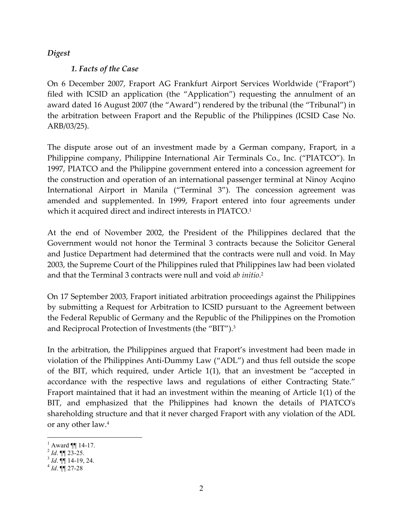#### *Digest*

#### **1. Facts of the Case**

On 6 December 2007, Fraport AG Frankfurt Airport Services Worldwide ("Fraport") filed with ICSID an application (the "Application") requesting the annulment of an award dated 16 August 2007 (the "Award") rendered by the tribunal (the "Tribunal") in the arbitration between Fraport and the Republic of the Philippines (ICSID Case No. ARB/03/25).

The dispute arose out of an investment made by a German company, Fraport, in a Philippine company, Philippine International Air Terminals Co., Inc. ("PIATCO"). In 1997, PIATCO and the Philippine government entered into a concession agreement for the construction and operation of an international passenger terminal at Ninoy Acqino International Airport in Manila ("Terminal 3"). The concession agreement was amended and supplemented. In 1999, Fraport entered into four agreements under which it acquired direct and indirect interests in PIATCO.<sup>1</sup>

At the end of November 2002, the President of the Philippines declared that the Government would not honor the Terminal 3 contracts because the Solicitor General and Justice Department had determined that the contracts were null and void. In May 2003, the Supreme Court of the Philippines ruled that Philippines law had been violated and that the Terminal 3 contracts were null and void *ab initio*.<sup>2</sup>

On 17 September 2003, Fraport initiated arbitration proceedings against the Philippines by submitting a Request for Arbitration to ICSID pursuant to the Agreement between the Federal Republic of Germany and the Republic of the Philippines on the Promotion and Reciprocal Protection of Investments (the "BIT").<sup>3</sup>

In the arbitration, the Philippines argued that Fraport's investment had been made in violation of the Philippines Anti-Dummy Law ("ADL") and thus fell outside the scope of the BIT, which required, under Article  $1(1)$ , that an investment be "accepted in accordance with the respective laws and regulations of either Contracting State." Fraport maintained that it had an investment within the meaning of Article  $1(1)$  of the BIT, and emphasized that the Philippines had known the details of PIATCO's shareholding structure and that it never charged Fraport with any violation of the ADL or any other law. $4$ 

i

<sup>1</sup> Award ¶¶ 14-17. <sup>2</sup> *Id*. ¶¶ 23-25. <sup>3</sup> *Id*. ¶¶ 14-19, 24. <sup>4</sup> *Id*. ¶¶ 27-28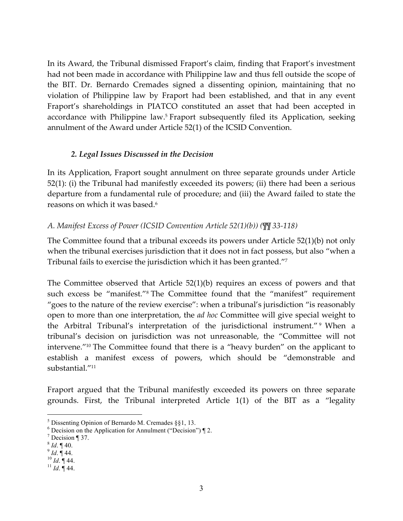In its Award, the Tribunal dismissed Fraport's claim, finding that Fraport's investment had not been made in accordance with Philippine law and thus fell outside the scope of the BIT. Dr. Bernardo Cremades signed a dissenting opinion, maintaining that no violation of Philippine law by Fraport had been established, and that in any event Fraport's shareholdings in PIATCO constituted an asset that had been accepted in accordance with Philippine law.<sup>5</sup> Fraport subsequently filed its Application, seeking annulment of the Award under Article 52(1) of the ICSID Convention.

#### *2. Legal Issues(Discussed(in(the(Decision*

In its Application, Fraport sought annulment on three separate grounds under Article  $52(1)$ : (i) the Tribunal had manifestly exceeded its powers; (ii) there had been a serious departure from a fundamental rule of procedure; and (iii) the Award failed to state the reasons on which it was based.<sup>6</sup>

#### *A. Manifest Excess of Power (ICSID Convention Article 52(1)(b)) (* $\mathbb{W}$  33-118)

The Committee found that a tribunal exceeds its powers under Article  $52(1)(b)$  not only when the tribunal exercises jurisdiction that it does not in fact possess, but also "when a Tribunal fails to exercise the jurisdiction which it has been granted."7

The Committee observed that Article  $52(1)(b)$  requires an excess of powers and that such excess be "manifest."<sup>8</sup> The Committee found that the "manifest" requirement "goes to the nature of the review exercise": when a tribunal's jurisdiction "is reasonably open to more than one interpretation, the *ad hoc* Committee will give special weight to the Arbitral Tribunal's interpretation of the jurisdictional instrument." 9 When a tribunal's decision on jurisdiction was not unreasonable, the "Committee will not intervene."<sup>10</sup> The Committee found that there is a "heavy burden" on the applicant to establish a manifest excess of powers, which should be "demonstrable and substantial."<sup>11</sup>

Fraport argued that the Tribunal manifestly exceeded its powers on three separate grounds. First, the Tribunal interpreted Article  $1(1)$  of the BIT as a "legality

i

 $5$  Dissenting Opinion of Bernardo M. Cremades §§1, 13.

 $6$  Decision on the Application for Annulment ("Decision")  $\P$  2.

 $^7$  Decision ¶ 37.<br><sup>8</sup> *Id*. ¶ 40.

<sup>8</sup> *Id*. ¶ 40. 9 *Id*. ¶ 44. 10 *Id*. ¶ 44. 11 *Id*. ¶ 44.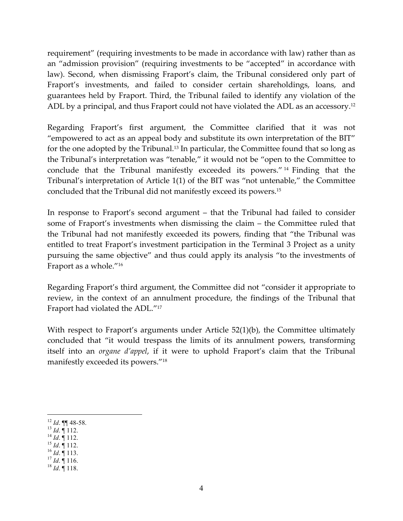requirement" (requiring investments to be made in accordance with law) rather than as an "admission provision" (requiring investments to be "accepted" in accordance with law). Second, when dismissing Fraport's claim, the Tribunal considered only part of Fraport's investments, and failed to consider certain shareholdings, loans, and guarantees held by Fraport. Third, the Tribunal failed to identify any violation of the ADL by a principal, and thus Fraport could not have violated the ADL as an accessory.<sup>12</sup>

Regarding Fraport's first argument, the Committee clarified that it was not "empowered to act as an appeal body and substitute its own interpretation of the BIT" for the one adopted by the Tribunal.<sup>13</sup> In particular, the Committee found that so long as the Tribunal's interpretation was "tenable," it would not be "open to the Committee to conclude that the Tribunal manifestly exceeded its powers." <sup>14</sup> Finding that the Tribunal's interpretation of Article 1(1) of the BIT was "not untenable," the Committee concluded that the Tribunal did not manifestly exceed its powers.<sup>15</sup>

In response to Fraport's second argument – that the Tribunal had failed to consider some of Fraport's investments when dismissing the claim – the Committee ruled that the Tribunal had not manifestly exceeded its powers, finding that "the Tribunal was entitled to treat Fraport's investment participation in the Terminal 3 Project as a unity pursuing the same objective" and thus could apply its analysis "to the investments of Fraport as a whole."<sup>16</sup>

Regarding Fraport's third argument, the Committee did not "consider it appropriate to review, in the context of an annulment procedure, the findings of the Tribunal that Fraport had violated the ADL."<sup>17</sup>

With respect to Fraport's arguments under Article  $52(1)(b)$ , the Committee ultimately concluded that "it would trespass the limits of its annulment powers, transforming itself into an *organe d'appel*, if it were to uphold Fraport's claim that the Tribunal manifestly exceeded its powers."<sup>18</sup>

- 12 *Id.* ¶¶ 48-58.<br>
13 *Id.* ¶ 112.<br>
14 *Id.* ¶ 112.<br>
16 *Id.* ¶ 113.<br>
17 *Id.* ¶ 116.<br>
18 *Id.* ¶ 118.
- 
- 
- 
- -

i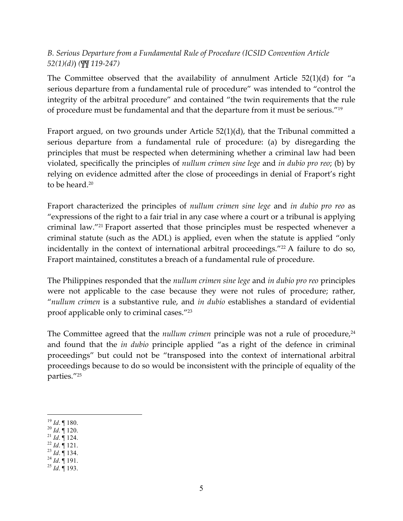### B. Serious Departure from a Fundamental Rule of Procedure (ICSID Convention Article  $52(1)(d)$  (TV 119-247)

The Committee observed that the availability of annulment Article  $52(1)(d)$  for "a serious departure from a fundamental rule of procedure" was intended to "control the integrity of the arbitral procedure" and contained "the twin requirements that the rule of procedure must be fundamental and that the departure from it must be serious."<sup>19</sup>

Fraport argued, on two grounds under Article  $52(1)(d)$ , that the Tribunal committed a serious departure from a fundamental rule of procedure: (a) by disregarding the principles that must be respected when determining whether a criminal law had been violated, specifically the principles of *nullum crimen sine lege* and *in dubio pro reo*; (b) by relying on evidence admitted after the close of proceedings in denial of Fraport's right to be heard.<sup>20</sup>

Fraport characterized the principles of *nullum crimen sine lege* and *in dubio pro reo* as "expressions of the right to a fair trial in any case where a court or a tribunal is applying criminal law."<sup>21</sup> Fraport asserted that those principles must be respected whenever a criminal statute (such as the ADL) is applied, even when the statute is applied "only incidentally in the context of international arbitral proceedings."<sup>22</sup> A failure to do so, Fraport maintained, constitutes a breach of a fundamental rule of procedure.

The Philippines responded that the *nullum crimen sine lege* and *in dubio pro reo* principles were not applicable to the case because they were not rules of procedure; rather, "nullum crimen is a substantive rule, and in dubio establishes a standard of evidential proof applicable only to criminal cases."23

The Committee agreed that the *nullum crimen* principle was not a rule of procedure, $24$ and found that the *in dubio* principle applied "as a right of the defence in criminal proceedings" but could not be "transposed into the context of international arbitral proceedings because to do so would be inconsistent with the principle of equality of the parties."25

- $^{20}$  Id.  $\parallel$  120.
- <sup>21</sup> Id.  $\parallel$  124.
- $^{22}$  *Id.*  $\overline{$  121.
- $^{23}$  *Id.*  $\llbracket$  134.
- $^{24}$  *Id.*  $\overline{$  191.
- $^{25}$  *Id.*  $\dot{$  193.

 $19$  *Id.* ¶ 180.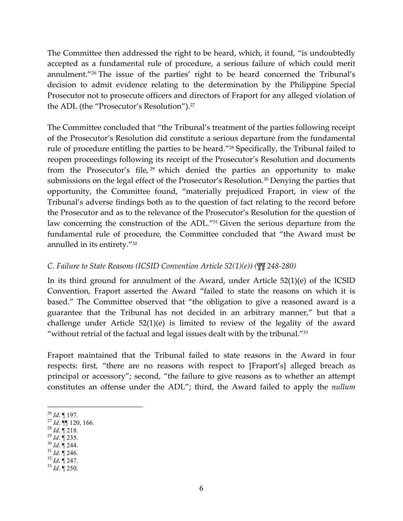The Committee then addressed the right to be heard, which, it found, "is undoubtedly accepted as a fundamental rule of procedure, a serious failure of which could merit annulment."<sup>26</sup> The issue of the parties' right to be heard concerned the Tribunal's decision to admit evidence relating to the determination by the Philippine Special Prosecutor not to prosecute officers and directors of Fraport for any alleged violation of the ADL (the "Prosecutor's Resolution").<sup>27</sup>

The Committee concluded that "the Tribunal's treatment of the parties following receipt of the Prosecutor's Resolution did constitute a serious departure from the fundamental rule of procedure entitling the parties to be heard."<sup>28</sup> Specifically, the Tribunal failed to reopen proceedings following its receipt of the Prosecutor's Resolution and documents from the Prosecutor's file, <sup>29</sup> which denied the parties an opportunity to make submissions on the legal effect of the Prosecutor's Resolution.<sup>30</sup> Denying the parties that opportunity, the Committee found, "materially prejudiced Fraport, in view of the Tribunal's adverse findings both as to the question of fact relating to the record before the Prosecutor and as to the relevance of the Prosecutor's Resolution for the question of law concerning the construction of the ADL."31 Given the serious departure from the fundamental rule of procedure, the Committee concluded that "the Award must be annulled in its entirety. $1/32$ 

#### *C. Failure to State Reasons (ICSID Convention Article 52(1)(e)) (* $\sqrt{\psi}$  *248-280)*

In its third ground for annulment of the Award, under Article  $52(1)(e)$  of the ICSID Convention, Fraport asserted the Award "failed to state the reasons on which it is based." The Committee observed that "the obligation to give a reasoned award is a guarantee that the Tribunal has not decided in an arbitrary manner," but that a challenge under Article  $52(1)(e)$  is limited to review of the legality of the award "without retrial of the factual and legal issues dealt with by the tribunal." $33$ 

Fraport maintained that the Tribunal failed to state reasons in the Award in four respects: first, "there are no reasons with respect to [Fraport's] alleged breach as principal or accessory"; second, "the failure to give reasons as to whether an attempt constitutes an offense under the ADL"; third, the Award failed to apply the *nullum* 

- 
- 
- 
- 
- 
- 

 $26$  *Id.* 197.

<sup>26</sup> *Id*. ¶ 197. 27 *Id*. ¶¶ 120, 166. 28 *Id*. ¶ 218. 29 *Id*. ¶ 235. 30 *Id*. ¶ 244. 31 *Id*. ¶ 246. 32 *Id*. ¶ 247. 33 *Id*. ¶ 250.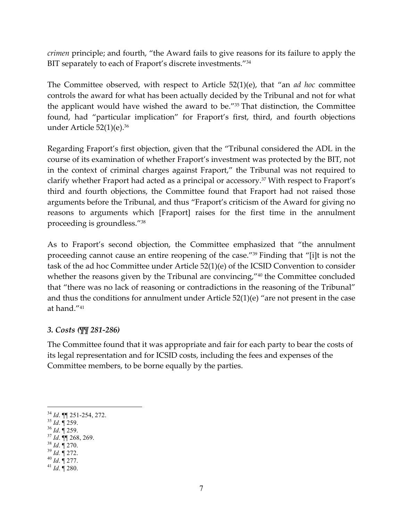*crimen* principle; and fourth, "the Award fails to give reasons for its failure to apply the BIT separately to each of Fraport's discrete investments."34

The Committee observed, with respect to Article 52(1)(e), that "an *ad hoc* committee controls the award for what has been actually decided by the Tribunal and not for what the applicant would have wished the award to be."<sup>35</sup> That distinction, the Committee found, had "particular implication" for Fraport's first, third, and fourth objections under Article  $52(1)(e).^{36}$ 

Regarding Fraport's first objection, given that the "Tribunal considered the ADL in the course of its examination of whether Fraport's investment was protected by the BIT, not in the context of criminal charges against Fraport," the Tribunal was not required to clarify whether Fraport had acted as a principal or accessory.<sup>37</sup> With respect to Fraport's third and fourth objections, the Committee found that Fraport had not raised those arguments before the Tribunal, and thus "Fraport's criticism of the Award for giving no reasons to arguments which [Fraport] raises for the first time in the annulment proceeding is groundless."<sup>38</sup>

As to Fraport's second objection, the Committee emphasized that "the annulment" proceeding cannot cause an entire reopening of the case."<sup>39</sup> Finding that "[i]t is not the task of the ad hoc Committee under Article  $52(1)(e)$  of the ICSID Convention to consider whether the reasons given by the Tribunal are convincing,"<sup>40</sup> the Committee concluded that "there was no lack of reasoning or contradictions in the reasoning of the Tribunal" and thus the conditions for annulment under Article  $52(1)(e)$  "are not present in the case at hand."<sup>41</sup>

#### 3. Costs ( $\P$ <sup> $\P$ </sup> 281-286)

The Committee found that it was appropriate and fair for each party to bear the costs of its legal representation and for ICSID costs, including the fees and expenses of the Committee members, to be borne equally by the parties.

- 
- 
- 
- 
- 

i<br>Li 34 *Id*. ¶¶ 251-254, 272. 35 *Id*. ¶ 259. 36 *Id*. ¶ 259. 37 *Id*. ¶¶ 268, 269. 38 *Id*. ¶ 270. 39 *Id.* ¶ 272. 40 *Id*. ¶ 277. 41 *Id*. ¶ 280.